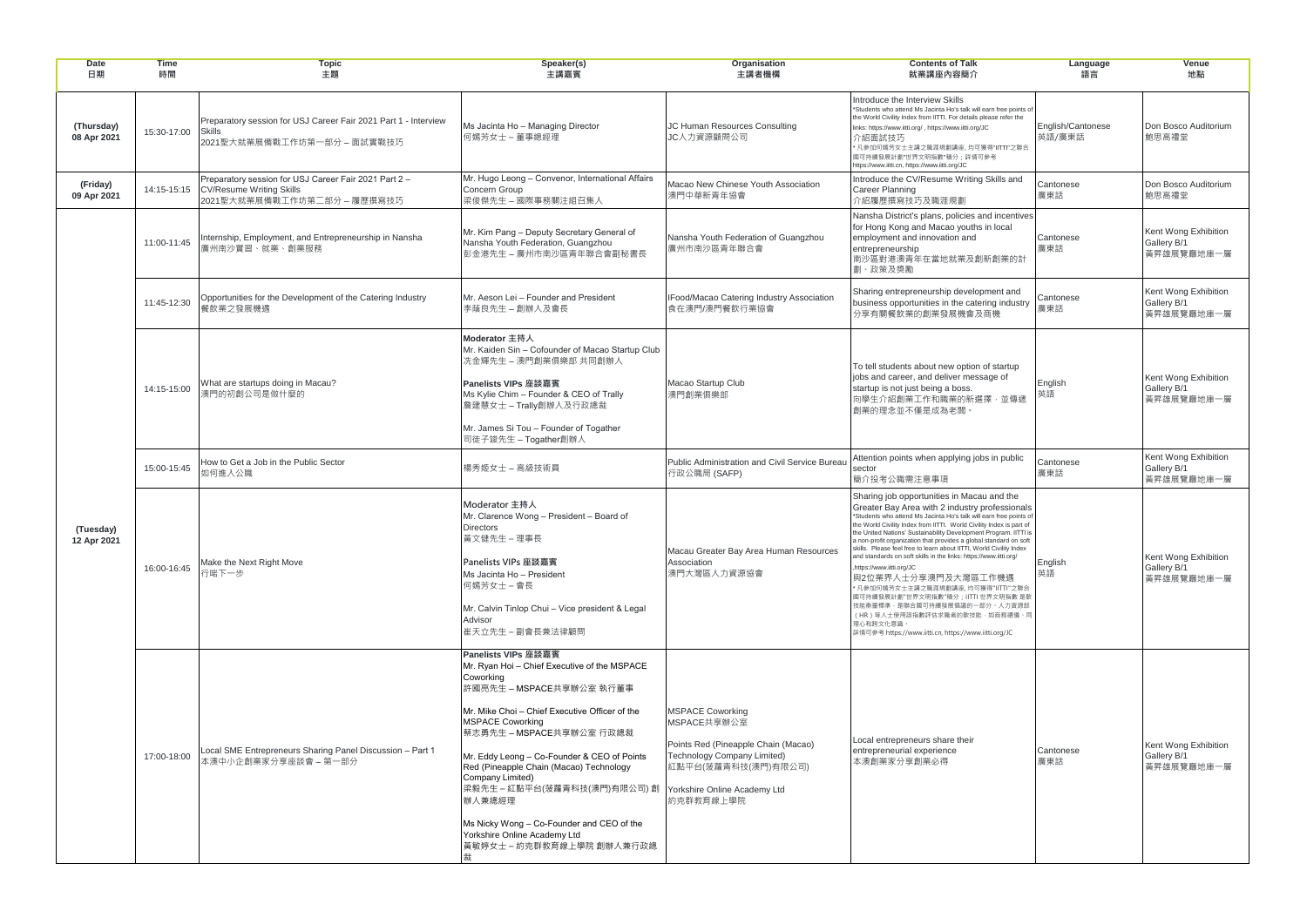| <b>Date</b><br>日期         | <b>Time</b><br>時間 | <b>Topic</b><br>主題                                                                                                           | Speaker(s)<br>主講嘉賓                                                                                                                                                                                                                                                                                                                                                                                                                                                                                                    | <b>Organisation</b><br>主講者機構                                                                                                                     | <b>Contents of Talk</b><br>就業講座內容簡介                                                                                                                                                                                                                                                                                                                                                                                                                                                                                                                                                                                                                                                                                                                                                                                   | Language<br>語言              | Venue<br>地點                                       |
|---------------------------|-------------------|------------------------------------------------------------------------------------------------------------------------------|-----------------------------------------------------------------------------------------------------------------------------------------------------------------------------------------------------------------------------------------------------------------------------------------------------------------------------------------------------------------------------------------------------------------------------------------------------------------------------------------------------------------------|--------------------------------------------------------------------------------------------------------------------------------------------------|-----------------------------------------------------------------------------------------------------------------------------------------------------------------------------------------------------------------------------------------------------------------------------------------------------------------------------------------------------------------------------------------------------------------------------------------------------------------------------------------------------------------------------------------------------------------------------------------------------------------------------------------------------------------------------------------------------------------------------------------------------------------------------------------------------------------------|-----------------------------|---------------------------------------------------|
| (Thursday)<br>08 Apr 2021 | 15:30-17:00       | Preparatory session for USJ Career Fair 2021 Part 1 - Interview<br><b>Skills</b><br>2021聖大就業展備戰工作坊第一部分 – 面試實戰技巧              | Ms Jacinta Ho - Managing Director<br>何嫣芳女士 – 董事總經理                                                                                                                                                                                                                                                                                                                                                                                                                                                                    | JC Human Resources Consulting<br>JC人力資源顧問公司                                                                                                      | Introduce the Interview Skills<br>*Students who attend Ms Jacinta Ho's talk will earn free points of<br>the World Civility Index from IITTI. For details please refer the<br>links: https://www.iitti.org/, https://www.iitti.org/JC<br>介紹面試技巧<br>* 凡參加何嫣芳女士主講之職涯規劃講座, 均可獲得"IITTI"之聯合<br>國可持續發展計劃"世界文明指數"積分;詳情可參考<br>https://www.iitti.cn, https://www.iitti.org/JC                                                                                                                                                                                                                                                                                                                                                                                                                                                   | English/Cantonese<br>英語/廣東話 | Don Bosco Auditorium<br>鮑思高禮堂                     |
| (Friday)<br>09 Apr 2021   |                   | Preparatory session for USJ Career Fair 2021 Part 2 -<br>14:15-15:15 CV/Resume Writing Skills<br>2021聖大就業展備戰工作坊第二部分 – 履歷撰寫技巧 | Mr. Hugo Leong - Convenor, International Affairs<br>Concern Group<br>梁俊傑先生 – 國際事務關注組召集人                                                                                                                                                                                                                                                                                                                                                                                                                               | Macao New Chinese Youth Association<br>澳門中華新青年協會                                                                                                 | Introduce the CV/Resume Writing Skills and<br><b>Career Planning</b><br>介紹履歷撰寫技巧及職涯規劃                                                                                                                                                                                                                                                                                                                                                                                                                                                                                                                                                                                                                                                                                                                                 | Cantonese<br>廣東話            | Don Bosco Auditorium<br>鮑思高禮堂                     |
| (Tuesday)<br>12 Apr 2021  | 11:00-11:45       | Internship, Employment, and Entrepreneurship in Nansha<br>廣州南沙實習、就業、創業服務                                                     | Mr. Kim Pang - Deputy Secretary General of<br>Nansha Youth Federation, Guangzhou<br>彭金港先生 – 廣州市南沙區青年聯合會副秘書長                                                                                                                                                                                                                                                                                                                                                                                                           | Nansha Youth Federation of Guangzhou<br>廣州市南沙區青年聯合會                                                                                              | Nansha District's plans, policies and incentives<br>for Hong Kong and Macao youths in local<br>employment and innovation and<br>entrepreneurship<br>南沙區對港澳青年在當地就業及創新創業的計<br>劃、政策及獎勵                                                                                                                                                                                                                                                                                                                                                                                                                                                                                                                                                                                                                                   | Cantonese<br>廣東話            | Kent Wong Exhibition<br>Gallery B/1<br>黃昇雄展覽廳地庫一層 |
|                           | 11:45-12:30       | Opportunities for the Development of the Catering Industry<br>餐飲業之發展機遇                                                       | Mr. Aeson Lei - Founder and President<br>李蔭良先生 – 創辦人及會長                                                                                                                                                                                                                                                                                                                                                                                                                                                               | IFood/Macao Catering Industry Association<br>食在澳門/澳門餐飲行業協會                                                                                       | Sharing entrepreneurship development and<br>business opportunities in the catering industry<br>分享有關餐飲業的創業發展機會及商機                                                                                                                                                                                                                                                                                                                                                                                                                                                                                                                                                                                                                                                                                                      | Cantonese<br>廣東話            | Kent Wong Exhibition<br>Gallery B/1<br>黃昇雄展覽廳地庫一層 |
|                           | 14:15-15:00       | What are startups doing in Macau?<br>澳門的初創公司是做什麼的                                                                            | Moderator 主持人<br>Mr. Kaiden Sin - Cofounder of Macao Startup Club<br>洗金輝先生 - 澳門創業俱樂部 共同創辦人<br>Panelists VIPs 座談嘉賓<br>Ms Kylie Chim - Founder & CEO of Trally<br>詹建慧女士 - Trally創辦人及行政總裁<br>Mr. James Si Tou - Founder of Togather<br>司徒子竣先生 - Togather創辦人                                                                                                                                                                                                                                                              | Macao Startup Club<br>澳門創業俱樂部                                                                                                                    | To tell students about new option of startup<br>jobs and career, and deliver message of<br>startup is not just being a boss.<br>向學生介紹創業工作和職業的新選擇,並傳遞<br>創業的理念並不僅是成為老闆。                                                                                                                                                                                                                                                                                                                                                                                                                                                                                                                                                                                                                                                | English<br>英語               | Kent Wong Exhibition<br>Gallery B/1<br>黃昇雄展覽廳地庫一層 |
|                           | 15:00-15:45       | How to Get a Job in the Public Sector<br>如何進入公職                                                                              | 楊秀姬女士 – 高級技術員                                                                                                                                                                                                                                                                                                                                                                                                                                                                                                         | Public Administration and Civil Service Bureau<br>行政公職局 (SAFP)                                                                                   | Attention points when applying jobs in public<br>sector<br>簡介投考公職需注意事項                                                                                                                                                                                                                                                                                                                                                                                                                                                                                                                                                                                                                                                                                                                                                | Cantonese<br>廣東話            | Kent Wong Exhibition<br>Gallery B/1<br>黃昇雄展覽廳地庫一層 |
|                           | 16:00-16:45       | Make the Next Right Move<br>行啱下一步                                                                                            | Moderator 主持人<br>Mr. Clarence Wong - President - Board of<br><b>Directors</b><br>黃文健先生 – 理事長<br>Panelists VIPs 座談嘉賓<br>Ms Jacinta Ho - President<br>何嫣芳女士 – 會長<br>Mr. Calvin Tinlop Chui - Vice president & Legal<br>Advisor<br>崔天立先生 – 副會長兼法律顧問                                                                                                                                                                                                                                                                      | Macau Greater Bay Area Human Resources<br>Association<br>澳門大灣區人力資源協會                                                                             | Sharing job opportunities in Macau and the<br>Greater Bay Area with 2 industry professionals<br>*Students who attend Ms Jacinta Ho's talk will earn free points of<br>the World Civility Index from IITTI. World Civility Index is part of<br>the United Nations' Sustainability Development Program. IITTI is<br>a non-profit organization that provides a global standard on soft<br>skills. Please feel free to learn about IITTI, World Civility Index<br>and standards on soft skills in the links: https://www.iitti.org/<br>https://www.iitti.org/JC<br>與2位業界人士分享澳門及大灣區工作機遇<br>* 凡參加何嫣芳女士主講之職涯規劃講座, 均可獲得"IITTI"之聯合<br>國可持續發展計劃"世界文明指數"積分 ; IITTI 世界文明指數 是軟<br>技能衡量標準,是聯合國可持續發展倡議的一部分 <mark>。人力資源部</mark><br>(HR)等人士使用該指數評估求職者的軟技能,如商務禮儀、『<br>理心和跨文化意識。<br>詳情可參考 https://www.iitti.cn, https://www.iitti.org/JC | English<br>英語               | Kent Wong Exhibition<br>Gallery B/1<br>黃昇雄展覽廳地庫一層 |
|                           | 17:00-18:00       | Local SME Entrepreneurs Sharing Panel Discussion - Part 1<br>本澳中小企創業家分享座談會 – 第一部分                                            | Panelists VIPs 座談嘉賓<br>Mr. Ryan Hoi - Chief Executive of the MSPACE<br>Coworking<br>許國亮先生 – MSPACE共享辦公室 執行董事<br>Mr. Mike Choi - Chief Executive Officer of the<br><b>MSPACE Coworking</b><br> 蔡志勇先生 – MSPACE共享辦公室 行政總裁<br>Mr. Eddy Leong - Co-Founder & CEO of Points<br>Red (Pineapple Chain (Macao) Technology<br>Company Limited)<br>梁毅先生 - 紅點平台(菠蘿青科技(澳門)有限公司) 創 Yorkshire Online Academy Ltd<br>辦人兼總經理<br>Ms Nicky Wong – Co-Founder and CEO of the<br>Yorkshire Online Academy Ltd<br>黃敏婷女士 - 約克群教育線上學院 創辦人兼行政總 | <b>MSPACE Coworking</b><br>MSPACE共享辦公室<br>Points Red (Pineapple Chain (Macao)<br>Technology Company Limited)<br>紅點平台(菠蘿青科技(澳門)有限公司)<br>約克群教育線上學院 | Local entrepreneurs share their<br>entrepreneurial experience<br>本澳創業家分享創業必得                                                                                                                                                                                                                                                                                                                                                                                                                                                                                                                                                                                                                                                                                                                                          | Cantonese<br>廣東話            | Kent Wong Exhibition<br>Gallery B/1<br>黃昇雄展覽廳地庫一層 |